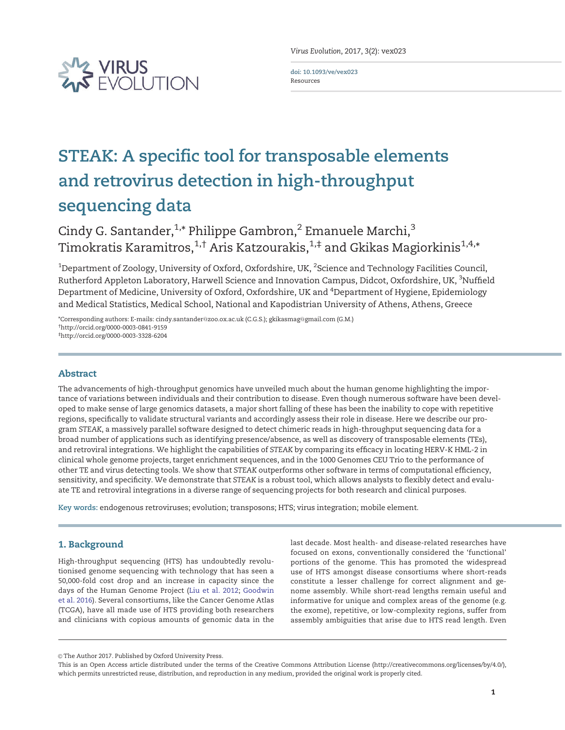

Virus Evolution, 2017, 3(2): vex023

doi: 10.1093/ve/vex023 Resources

# STEAK: A specific tool for transposable elements and retrovirus detection in high-throughput sequencing data

Cindy G. Santander,  $1,*$  Philippe Gambron, $^{2}$  Emanuele Marchi, $^{3}$ Timokratis Karamitros,<sup>1,†</sup> Aris Katzourakis,<sup>1,‡</sup> and Gkikas Magiorkinis<sup>1,4,\*</sup>

 $^{\rm 1}$ Department of Zoology, University of Oxford, Oxfordshire, UK,  $^{\rm 2}$ Science and Technology Facilities Council, Rutherford Appleton Laboratory, Harwell Science and Innovation Campus, Didcot, Oxfordshire, UK, <sup>3</sup>Nuffield Department of Medicine, University of Oxford, Oxfordshire, UK and <sup>4</sup>Department of Hygiene, Epidemiology and Medical Statistics, Medical School, National and Kapodistrian University of Athens, Athens, Greece

\*Corresponding authors: E-mails: cindy.santander@zoo.ox.ac.uk (C.G.S.); gkikasmag@gmail.com (G.M.) † <http://orcid.org/0000-0003-0841-9159> ‡ <http://orcid.org/0000-0003-3328-6204>

# Abstract

The advancements of high-throughput genomics have unveiled much about the human genome highlighting the importance of variations between individuals and their contribution to disease. Even though numerous software have been developed to make sense of large genomics datasets, a major short falling of these has been the inability to cope with repetitive regions, specifically to validate structural variants and accordingly assess their role in disease. Here we describe our program STEAK, a massively parallel software designed to detect chimeric reads in high-throughput sequencing data for a broad number of applications such as identifying presence/absence, as well as discovery of transposable elements (TEs), and retroviral integrations. We highlight the capabilities of STEAK by comparing its efficacy in locating HERV-K HML-2 in clinical whole genome projects, target enrichment sequences, and in the 1000 Genomes CEU Trio to the performance of other TE and virus detecting tools. We show that STEAK outperforms other software in terms of computational efficiency, sensitivity, and specificity. We demonstrate that STEAK is a robust tool, which allows analysts to flexibly detect and evaluate TE and retroviral integrations in a diverse range of sequencing projects for both research and clinical purposes.

Key words: endogenous retroviruses; evolution; transposons; HTS; virus integration; mobile element.

# 1. Background

High-throughput sequencing (HTS) has undoubtedly revolutionised genome sequencing with technology that has seen a 50,000-fold cost drop and an increase in capacity since the days of the Human Genome Project [\(Liu et al. 2012;](#page-11-0) [Goodwin](#page-11-0) [et al. 2016](#page-11-0)). Several consortiums, like the Cancer Genome Atlas (TCGA), have all made use of HTS providing both researchers and clinicians with copious amounts of genomic data in the

last decade. Most health- and disease-related researches have focused on exons, conventionally considered the 'functional' portions of the genome. This has promoted the widespread use of HTS amongst disease consortiums where short-reads constitute a lesser challenge for correct alignment and genome assembly. While short-read lengths remain useful and informative for unique and complex areas of the genome (e.g. the exome), repetitive, or low-complexity regions, suffer from assembly ambiguities that arise due to HTS read length. Even

© The Author 2017. Published by Oxford University Press.

This is an Open Access article distributed under the terms of the Creative Commons Attribution License (http://creativecommons.org/licenses/by/4.0/), which permits unrestricted reuse, distribution, and reproduction in any medium, provided the original work is properly cited.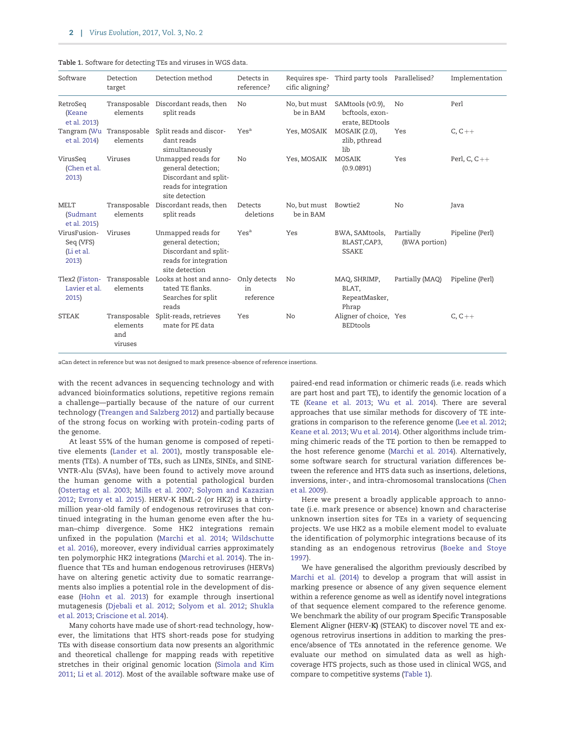<span id="page-1-0"></span>

| Table 1. Software for detecting TEs and viruses in WGS data. |  |
|--------------------------------------------------------------|--|
|--------------------------------------------------------------|--|

| Software                                         | Detection<br>target        | Detection method                                                                                             | Detects in<br>reference?        | Requires spe-<br>cific aligning?  | Third party tools Parallelised?                                     |                            | Implementation  |
|--------------------------------------------------|----------------------------|--------------------------------------------------------------------------------------------------------------|---------------------------------|-----------------------------------|---------------------------------------------------------------------|----------------------------|-----------------|
| RetroSeg<br>(Keane<br>et al. 2013)               | elements                   | Transposable Discordant reads, then<br>split reads                                                           | No                              | be in BAM                         | No, but must SAMtools (v0.9),<br>bcftools, exon-<br>erate, BEDtools | No                         | Perl            |
| et al. 2014)                                     | elements                   | Tangram (Wu Transposable Split reads and discor-<br>dant reads<br>simultaneously                             | Yes <sup>a</sup>                | Yes, MOSAIK                       | MOSAIK (2.0),<br>zlib, pthread<br>lib                               | Yes                        | $C, C++$        |
| VirusSeq<br>(Chen et al.<br>2013)                | Viruses                    | Unmapped reads for<br>general detection;<br>Discordant and split-<br>reads for integration<br>site detection | No                              | Yes, MOSAIK                       | <b>MOSAIK</b><br>(0.9.0891)                                         | Yes                        | Perl, $C, C++$  |
| <b>MELT</b><br>(Sudmant<br>et al. 2015)          | Transposable<br>elements   | Discordant reads, then<br>split reads                                                                        | Detects<br>deletions            | No, but must Bowtie2<br>be in BAM |                                                                     | No                         | Java            |
| VirusFusion-<br>Seq (VFS)<br>(Li et al.<br>2013) | Viruses                    | Unmapped reads for<br>general detection;<br>Discordant and split-<br>reads for integration<br>site detection | Yes <sup>a</sup>                | Yes                               | BWA, SAMtools,<br>BLAST, CAP3,<br><b>SSAKE</b>                      | Partially<br>(BWA portion) | Pipeline (Perl) |
| Lavier et al.<br>2015)                           | elements                   | Tlex2 (Fiston- Transposable Looks at host and anno-<br>tated TE flanks.<br>Searches for split<br>reads       | Only detects<br>in<br>reference | No                                | MAQ, SHRIMP,<br>BLAT,<br>RepeatMasker,<br>Phrap                     | Partially (MAQ)            | Pipeline (Perl) |
| <b>STEAK</b>                                     | elements<br>and<br>viruses | Transposable Split-reads, retrieves<br>mate for PE data                                                      | Yes                             | No                                | Aligner of choice, Yes<br><b>BEDtools</b>                           |                            | $C, C++$        |

aCan detect in reference but was not designed to mark presence-absence of reference insertions.

with the recent advances in sequencing technology and with advanced bioinformatics solutions, repetitive regions remain a challenge—partially because of the nature of our current technology ([Treangen and Salzberg 2012](#page-11-0)) and partially because of the strong focus on working with protein-coding parts of the genome.

At least 55% of the human genome is composed of repetitive elements ([Lander et al. 2001\)](#page-11-0), mostly transposable elements (TEs). A number of TEs, such as LINEs, SINEs, and SINE-VNTR-Alu (SVAs), have been found to actively move around the human genome with a potential pathological burden ([Ostertag et al. 2003;](#page-11-0) [Mills et al. 2007](#page-11-0); [Solyom and Kazazian](#page-11-0) [2012](#page-11-0); [Evrony et al. 2015\)](#page-11-0). HERV-K HML-2 (or HK2) is a thirtymillion year-old family of endogenous retroviruses that continued integrating in the human genome even after the human–chimp divergence. Some HK2 integrations remain unfixed in the population ([Marchi et al. 2014;](#page-11-0) [Wildschutte](#page-11-0) [et al. 2016\)](#page-11-0), moreover, every individual carries approximately ten polymorphic HK2 integrations [\(Marchi et al. 2014\)](#page-11-0). The influence that TEs and human endogenous retroviruses (HERVs) have on altering genetic activity due to somatic rearrangements also implies a potential role in the development of disease ([Hohn et al. 2013\)](#page-11-0) for example through insertional mutagenesis [\(Djebali et al. 2012;](#page-11-0) [Solyom et al. 2012;](#page-11-0) [Shukla](#page-11-0) [et al. 2013](#page-11-0); [Criscione et al. 2014\)](#page-11-0).

Many cohorts have made use of short-read technology, however, the limitations that HTS short-reads pose for studying TEs with disease consortium data now presents an algorithmic and theoretical challenge for mapping reads with repetitive stretches in their original genomic location [\(Simola and Kim](#page-11-0) [2011;](#page-11-0) [Li et al. 2012\)](#page-11-0). Most of the available software make use of

paired-end read information or chimeric reads (i.e. reads which are part host and part TE), to identify the genomic location of a TE ([Keane et al. 2013](#page-11-0); [Wu et al. 2014](#page-11-0)). There are several approaches that use similar methods for discovery of TE integrations in comparison to the reference genome [\(Lee et al. 2012](#page-11-0); [Keane et al. 2013;](#page-11-0) [Wu et al. 2014\)](#page-11-0). Other algorithms include trimming chimeric reads of the TE portion to then be remapped to the host reference genome [\(Marchi et al. 2014\)](#page-11-0). Alternatively, some software search for structural variation differences between the reference and HTS data such as insertions, deletions, inversions, inter-, and intra-chromosomal translocations ([Chen](#page-10-0) [et al. 2009](#page-10-0)).

Here we present a broadly applicable approach to annotate (i.e. mark presence or absence) known and characterise unknown insertion sites for TEs in a variety of sequencing projects. We use HK2 as a mobile element model to evaluate the identification of polymorphic integrations because of its standing as an endogenous retrovirus [\(Boeke and Stoye](#page-10-0) [1997\)](#page-10-0).

We have generalised the algorithm previously described by [Marchi et al. \(2014\)](#page-11-0) to develop a program that will assist in marking presence or absence of any given sequence element within a reference genome as well as identify novel integrations of that sequence element compared to the reference genome. We benchmark the ability of our program Specific Transposable Element Aligner (HERV-K) (STEAK) to discover novel TE and exogenous retrovirus insertions in addition to marking the presence/absence of TEs annotated in the reference genome. We evaluate our method on simulated data as well as highcoverage HTS projects, such as those used in clinical WGS, and compare to competitive systems (Table 1).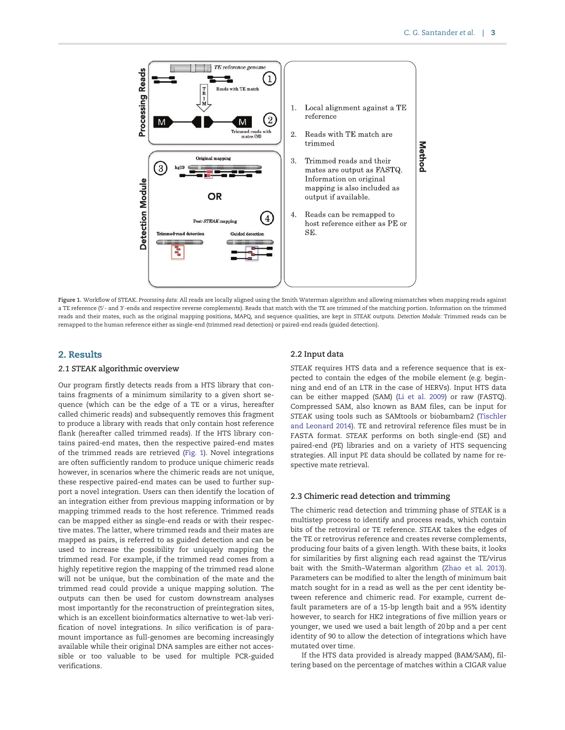<span id="page-2-0"></span>

Figure 1. Workflow of STEAK. Processing data: All reads are locally aligned using the Smith Waterman algorithm and allowing mismatches when mapping reads against a TE reference (5'- and 3'-ends and respective reverse complements). Reads that match with the TE are trimmed of the matching portion. Information on the trimmed reads and their mates, such as the original mapping positions, MAPQ, and sequence qualities, are kept in STEAK outputs. Detection Module: Trimmed reads can be remapped to the human reference either as single-end (trimmed read detection) or paired-end reads (guided detection).

# 2. Results

### 2.1 STEAK algorithmic overview

Our program firstly detects reads from a HTS library that contains fragments of a minimum similarity to a given short sequence (which can be the edge of a TE or a virus, hereafter called chimeric reads) and subsequently removes this fragment to produce a library with reads that only contain host reference flank (hereafter called trimmed reads). If the HTS library contains paired-end mates, then the respective paired-end mates of the trimmed reads are retrieved (Fig. 1). Novel integrations are often sufficiently random to produce unique chimeric reads however, in scenarios where the chimeric reads are not unique, these respective paired-end mates can be used to further support a novel integration. Users can then identify the location of an integration either from previous mapping information or by mapping trimmed reads to the host reference. Trimmed reads can be mapped either as single-end reads or with their respective mates. The latter, where trimmed reads and their mates are mapped as pairs, is referred to as guided detection and can be used to increase the possibility for uniquely mapping the trimmed read. For example, if the trimmed read comes from a highly repetitive region the mapping of the trimmed read alone will not be unique, but the combination of the mate and the trimmed read could provide a unique mapping solution. The outputs can then be used for custom downstream analyses most importantly for the reconstruction of preintegration sites, which is an excellent bioinformatics alternative to wet-lab verification of novel integrations. In silico verification is of paramount importance as full-genomes are becoming increasingly available while their original DNA samples are either not accessible or too valuable to be used for multiple PCR-guided verifications.

#### 2.2 Input data

STEAK requires HTS data and a reference sequence that is expected to contain the edges of the mobile element (e.g. beginning and end of an LTR in the case of HERVs). Input HTS data can be either mapped (SAM) ([Li et al. 2009](#page-11-0)) or raw (FASTQ). Compressed SAM, also known as BAM files, can be input for STEAK using tools such as SAMtools or biobambam2 ([Tischler](#page-11-0) [and Leonard 2014](#page-11-0)). TE and retroviral reference files must be in FASTA format. STEAK performs on both single-end (SE) and paired-end (PE) libraries and on a variety of HTS sequencing strategies. All input PE data should be collated by name for respective mate retrieval.

#### 2.3 Chimeric read detection and trimming

The chimeric read detection and trimming phase of STEAK is a multistep process to identify and process reads, which contain bits of the retroviral or TE reference. STEAK takes the edges of the TE or retrovirus reference and creates reverse complements, producing four baits of a given length. With these baits, it looks for similarities by first aligning each read against the TE/virus bait with the Smith–Waterman algorithm ([Zhao et al. 2013\)](#page-11-0). Parameters can be modified to alter the length of minimum bait match sought for in a read as well as the per cent identity between reference and chimeric read. For example, current default parameters are of a 15-bp length bait and a 95% identity however, to search for HK2 integrations of five million years or younger, we used we used a bait length of 20 bp and a per cent identity of 90 to allow the detection of integrations which have mutated over time.

If the HTS data provided is already mapped (BAM/SAM), filtering based on the percentage of matches within a CIGAR value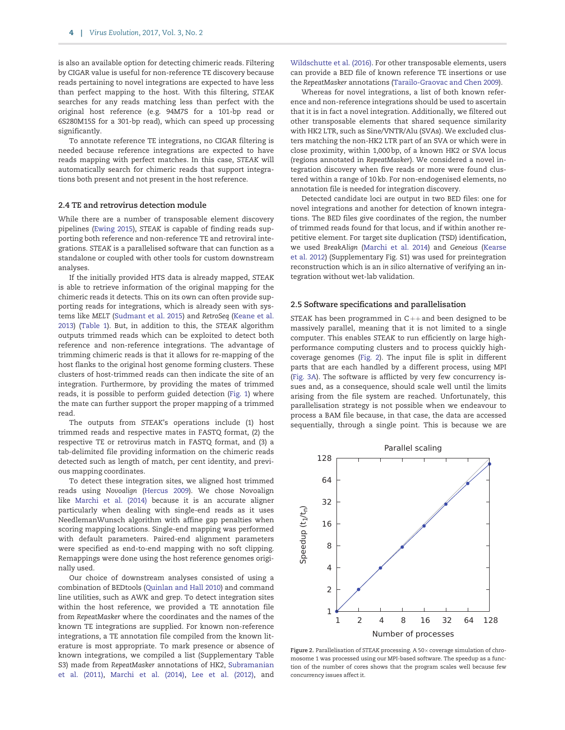is also an available option for detecting chimeric reads. Filtering by CIGAR value is useful for non-reference TE discovery because reads pertaining to novel integrations are expected to have less than perfect mapping to the host. With this filtering, STEAK searches for any reads matching less than perfect with the original host reference (e.g. 94M7S for a 101-bp read or 6S280M15S for a 301-bp read), which can speed up processing significantly.

To annotate reference TE integrations, no CIGAR filtering is needed because reference integrations are expected to have reads mapping with perfect matches. In this case, STEAK will automatically search for chimeric reads that support integrations both present and not present in the host reference.

#### 2.4 TE and retrovirus detection module

While there are a number of transposable element discovery pipelines [\(Ewing 2015\)](#page-11-0), STEAK is capable of finding reads supporting both reference and non-reference TE and retroviral integrations. STEAK is a parallelised software that can function as a standalone or coupled with other tools for custom downstream analyses.

If the initially provided HTS data is already mapped, STEAK is able to retrieve information of the original mapping for the chimeric reads it detects. This on its own can often provide supporting reads for integrations, which is already seen with systems like MELT [\(Sudmant et al. 2015\)](#page-11-0) and RetroSeq [\(Keane et al.](#page-11-0) [2013\)](#page-11-0) [\(Table 1](#page-1-0)). But, in addition to this, the STEAK algorithm outputs trimmed reads which can be exploited to detect both reference and non-reference integrations. The advantage of trimming chimeric reads is that it allows for re-mapping of the host flanks to the original host genome forming clusters. These clusters of host-trimmed reads can then indicate the site of an integration. Furthermore, by providing the mates of trimmed reads, it is possible to perform guided detection [\(Fig. 1\)](#page-2-0) where the mate can further support the proper mapping of a trimmed read.

The outputs from STEAK's operations include (1) host trimmed reads and respective mates in FASTQ format, (2) the respective TE or retrovirus match in FASTQ format, and (3) a tab-delimited file providing information on the chimeric reads detected such as length of match, per cent identity, and previous mapping coordinates.

To detect these integration sites, we aligned host trimmed reads using Novoalign ([Hercus 2009\)](#page-11-0). We chose Novoalign like [Marchi et al. \(2014\)](#page-11-0) because it is an accurate aligner particularly when dealing with single-end reads as it uses NeedlemanWunsch algorithm with affine gap penalties when scoring mapping locations. Single-end mapping was performed with default parameters. Paired-end alignment parameters were specified as end-to-end mapping with no soft clipping. Remappings were done using the host reference genomes originally used.

Our choice of downstream analyses consisted of using a combination of BEDtools [\(Quinlan and Hall 2010](#page-11-0)) and command line utilities, such as AWK and grep. To detect integration sites within the host reference, we provided a TE annotation file from RepeatMasker where the coordinates and the names of the known TE integrations are supplied. For known non-reference integrations, a TE annotation file compiled from the known literature is most appropriate. To mark presence or absence of known integrations, we compiled a list (Supplementary Table S3) made from RepeatMasker annotations of HK2, [Subramanian](#page-11-0) [et al. \(2011\),](#page-11-0) [Marchi et al. \(2014\)](#page-11-0), [Lee et al. \(2012\)](#page-11-0), and [Wildschutte et al. \(2016\).](#page-11-0) For other transposable elements, users can provide a BED file of known reference TE insertions or use the RepeatMasker annotations ([Tarailo-Graovac and Chen 2009\)](#page-11-0).

Whereas for novel integrations, a list of both known reference and non-reference integrations should be used to ascertain that it is in fact a novel integration. Additionally, we filtered out other transposable elements that shared sequence similarity with HK2 LTR, such as Sine/VNTR/Alu (SVAs). We excluded clusters matching the non-HK2 LTR part of an SVA or which were in close proximity, within 1,000 bp, of a known HK2 or SVA locus (regions annotated in RepeatMasker). We considered a novel integration discovery when five reads or more were found clustered within a range of 10 kb. For non-endogenised elements, no annotation file is needed for integration discovery.

Detected candidate loci are output in two BED files: one for novel integrations and another for detection of known integrations. The BED files give coordinates of the region, the number of trimmed reads found for that locus, and if within another repetitive element. For target site duplication (TSD) identification, we used BreakAlign [\(Marchi et al. 2014\)](#page-11-0) and Geneious [\(Kearse](#page-11-0) [et al. 2012](#page-11-0)) (Supplementary Fig. S1) was used for preintegration reconstruction which is an in silico alternative of verifying an integration without wet-lab validation.

#### 2.5 Software specifications and parallelisation

STEAK has been programmed in  $C_{++}$  and been designed to be massively parallel, meaning that it is not limited to a single computer. This enables STEAK to run efficiently on large highperformance computing clusters and to process quickly highcoverage genomes (Fig. 2). The input file is split in different parts that are each handled by a different process, using MPI [\(Fig. 3A\)](#page-4-0). The software is afflicted by very few concurrency issues and, as a consequence, should scale well until the limits arising from the file system are reached. Unfortunately, this parallelisation strategy is not possible when we endeavour to process a BAM file because, in that case, the data are accessed sequentially, through a single point. This is because we are



Figure 2. Parallelisation of STEAK processing. A  $50\times$  coverage simulation of chromosome 1 was processed using our MPI-based software. The speedup as a function of the number of cores shows that the program scales well because few concurrency issues affect it.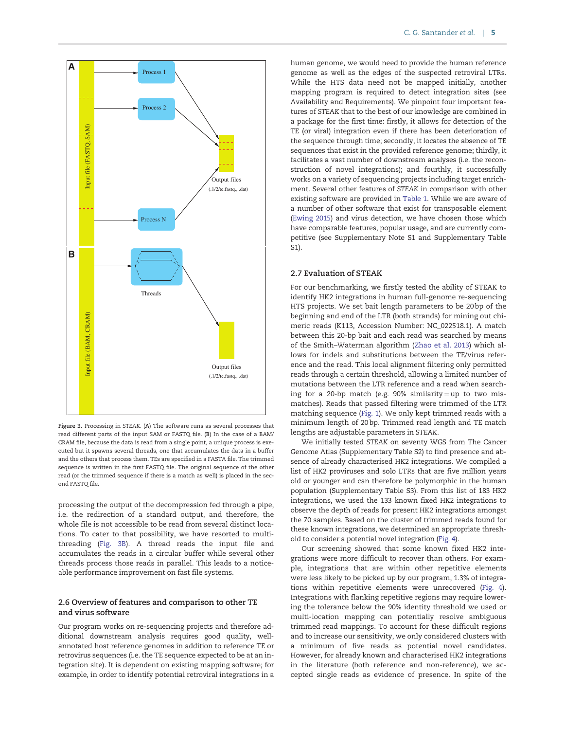<span id="page-4-0"></span>

Figure 3. Processing in STEAK. (A) The software runs as several processes that read different parts of the input SAM or FASTQ file. (B) In the case of a BAM/ CRAM file, because the data is read from a single point, a unique process is executed but it spawns several threads, one that accumulates the data in a buffer and the others that process them. TEs are specified in a FASTA file. The trimmed sequence is written in the first FASTQ file. The original sequence of the other read (or the trimmed sequence if there is a match as well) is placed in the second FASTQ file.

processing the output of the decompression fed through a pipe, i.e. the redirection of a standard output, and therefore, the whole file is not accessible to be read from several distinct locations. To cater to that possibility, we have resorted to multithreading (Fig. 3B). A thread reads the input file and accumulates the reads in a circular buffer while several other threads process those reads in parallel. This leads to a noticeable performance improvement on fast file systems.

### 2.6 Overview of features and comparison to other TE and virus software

Our program works on re-sequencing projects and therefore additional downstream analysis requires good quality, wellannotated host reference genomes in addition to reference TE or retrovirus sequences (i.e. the TE sequence expected to be at an integration site). It is dependent on existing mapping software; for example, in order to identify potential retroviral integrations in a human genome, we would need to provide the human reference genome as well as the edges of the suspected retroviral LTRs. While the HTS data need not be mapped initially, another mapping program is required to detect integration sites (see Availability and Requirements). We pinpoint four important features of STEAK that to the best of our knowledge are combined in a package for the first time: firstly, it allows for detection of the TE (or viral) integration even if there has been deterioration of the sequence through time; secondly, it locates the absence of TE sequences that exist in the provided reference genome; thirdly, it facilitates a vast number of downstream analyses (i.e. the reconstruction of novel integrations); and fourthly, it successfully works on a variety of sequencing projects including target enrichment. Several other features of STEAK in comparison with other existing software are provided in [Table 1](#page-1-0). While we are aware of a number of other software that exist for transposable element [\(Ewing 2015\)](#page-11-0) and virus detection, we have chosen those which have comparable features, popular usage, and are currently competitive (see Supplementary Note S1 and Supplementary Table S1).

## 2.7 Evaluation of STEAK

For our benchmarking, we firstly tested the ability of STEAK to identify HK2 integrations in human full-genome re-sequencing HTS projects. We set bait length parameters to be 20 bp of the beginning and end of the LTR (both strands) for mining out chimeric reads (K113, Accession Number: NC\_022518.1). A match between this 20-bp bait and each read was searched by means of the Smith–Waterman algorithm [\(Zhao et al. 2013\)](#page-11-0) which allows for indels and substitutions between the TE/virus reference and the read. This local alignment filtering only permitted reads through a certain threshold, allowing a limited number of mutations between the LTR reference and a read when searching for a 20-bp match (e.g. 90% similarity = up to two mismatches). Reads that passed filtering were trimmed of the LTR matching sequence ([Fig. 1\)](#page-2-0). We only kept trimmed reads with a minimum length of 20 bp. Trimmed read length and TE match lengths are adjustable parameters in STEAK.

We initially tested STEAK on seventy WGS from The Cancer Genome Atlas (Supplementary Table S2) to find presence and absence of already characterised HK2 integrations. We compiled a list of HK2 proviruses and solo LTRs that are five million years old or younger and can therefore be polymorphic in the human population (Supplementary Table S3). From this list of 183 HK2 integrations, we used the 133 known fixed HK2 integrations to observe the depth of reads for present HK2 integrations amongst the 70 samples. Based on the cluster of trimmed reads found for these known integrations, we determined an appropriate threshold to consider a potential novel integration [\(Fig. 4\)](#page-5-0).

Our screening showed that some known fixed HK2 integrations were more difficult to recover than others. For example, integrations that are within other repetitive elements were less likely to be picked up by our program, 1.3% of integrations within repetitive elements were unrecovered ([Fig. 4\)](#page-5-0). Integrations with flanking repetitive regions may require lowering the tolerance below the 90% identity threshold we used or multi-location mapping can potentially resolve ambiguous trimmed read mappings. To account for these difficult regions and to increase our sensitivity, we only considered clusters with a minimum of five reads as potential novel candidates. However, for already known and characterised HK2 integrations in the literature (both reference and non-reference), we accepted single reads as evidence of presence. In spite of the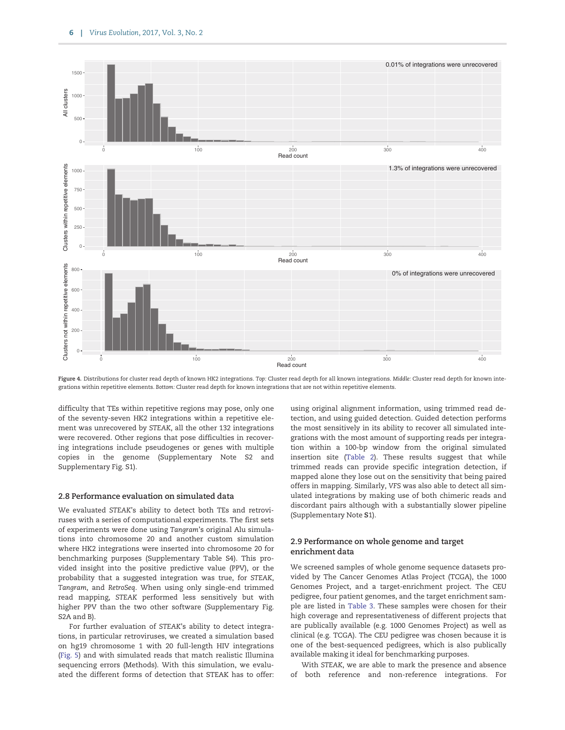<span id="page-5-0"></span>

Figure 4. Distributions for cluster read depth of known HK2 integrations. Top: Cluster read depth for all known integrations. Middle: Cluster read depth for known integrations within repetitive elements. Bottom: Cluster read depth for known integrations that are not within repetitive elements.

difficulty that TEs within repetitive regions may pose, only one of the seventy-seven HK2 integrations within a repetitive element was unrecovered by STEAK, all the other 132 integrations were recovered. Other regions that pose difficulties in recovering integrations include pseudogenes or genes with multiple copies in the genome (Supplementary Note S2 and Supplementary Fig. S1).

#### 2.8 Performance evaluation on simulated data

We evaluated STEAK's ability to detect both TEs and retroviruses with a series of computational experiments. The first sets of experiments were done using Tangram's original Alu simulations into chromosome 20 and another custom simulation where HK2 integrations were inserted into chromosome 20 for benchmarking purposes (Supplementary Table S4). This provided insight into the positive predictive value (PPV), or the probability that a suggested integration was true, for STEAK, Tangram, and RetroSeq. When using only single-end trimmed read mapping, STEAK performed less sensitively but with higher PPV than the two other software (Supplementary Fig. S<sub>2</sub>A and B).

For further evaluation of STEAK's ability to detect integrations, in particular retroviruses, we created a simulation based on hg19 chromosome 1 with 20 full-length HIV integrations [\(Fig. 5](#page-6-0)) and with simulated reads that match realistic Illumina sequencing errors (Methods). With this simulation, we evaluated the different forms of detection that STEAK has to offer:

using original alignment information, using trimmed read detection, and using guided detection. Guided detection performs the most sensitively in its ability to recover all simulated integrations with the most amount of supporting reads per integration within a 100-bp window from the original simulated insertion site [\(Table 2\)](#page-7-0). These results suggest that while trimmed reads can provide specific integration detection, if mapped alone they lose out on the sensitivity that being paired offers in mapping. Similarly, VFS was also able to detect all simulated integrations by making use of both chimeric reads and discordant pairs although with a substantially slower pipeline (Supplementary Note S1).

### 2.9 Performance on whole genome and target enrichment data

We screened samples of whole genome sequence datasets provided by The Cancer Genomes Atlas Project (TCGA), the 1000 Genomes Project, and a target-enrichment project. The CEU pedigree, four patient genomes, and the target enrichment sample are listed in [Table 3.](#page-7-0) These samples were chosen for their high coverage and representativeness of different projects that are publically available (e.g. 1000 Genomes Project) as well as clinical (e.g. TCGA). The CEU pedigree was chosen because it is one of the best-sequenced pedigrees, which is also publically available making it ideal for benchmarking purposes.

With STEAK, we are able to mark the presence and absence of both reference and non-reference integrations. For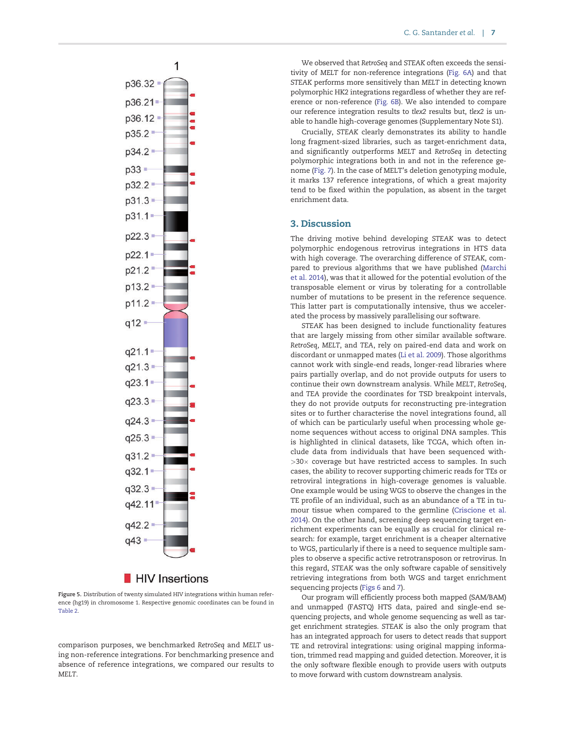

Crucially, STEAK clearly demonstrates its ability to handle long fragment-sized libraries, such as target-enrichment data, and significantly outperforms MELT and RetroSeq in detecting polymorphic integrations both in and not in the reference genome ([Fig. 7](#page-9-0)). In the case of MELT's deletion genotyping module, it marks 137 reference integrations, of which a great majority tend to be fixed within the population, as absent in the target enrichment data.

# 3. Discussion

The driving motive behind developing STEAK was to detect polymorphic endogenous retrovirus integrations in HTS data with high coverage. The overarching difference of STEAK, compared to previous algorithms that we have published ([Marchi](#page-11-0) [et al. 2014](#page-11-0)), was that it allowed for the potential evolution of the transposable element or virus by tolerating for a controllable number of mutations to be present in the reference sequence. This latter part is computationally intensive, thus we accelerated the process by massively parallelising our software.

STEAK has been designed to include functionality features that are largely missing from other similar available software. RetroSeq, MELT, and TEA, rely on paired-end data and work on discordant or unmapped mates [\(Li et al. 2009\)](#page-11-0). Those algorithms cannot work with single-end reads, longer-read libraries where pairs partially overlap, and do not provide outputs for users to continue their own downstream analysis. While MELT, RetroSeq, and TEA provide the coordinates for TSD breakpoint intervals, they do not provide outputs for reconstructing pre-integration sites or to further characterise the novel integrations found, all of which can be particularly useful when processing whole genome sequences without access to original DNA samples. This is highlighted in clinical datasets, like TCGA, which often include data from individuals that have been sequenced with-  $>$ 30 $\times$  coverage but have restricted access to samples. In such cases, the ability to recover supporting chimeric reads for TEs or retroviral integrations in high-coverage genomes is valuable. One example would be using WGS to observe the changes in the TE profile of an individual, such as an abundance of a TE in tumour tissue when compared to the germline ([Criscione et al.](#page-11-0) [2014\)](#page-11-0). On the other hand, screening deep sequencing target enrichment experiments can be equally as crucial for clinical research: for example, target enrichment is a cheaper alternative to WGS, particularly if there is a need to sequence multiple samples to observe a specific active retrotransposon or retrovirus. In this regard, STEAK was the only software capable of sensitively retrieving integrations from both WGS and target enrichment sequencing projects [\(Figs 6](#page-8-0) and [7\)](#page-9-0).

Our program will efficiently process both mapped (SAM/BAM) and unmapped (FASTQ) HTS data, paired and single-end sequencing projects, and whole genome sequencing as well as target enrichment strategies. STEAK is also the only program that has an integrated approach for users to detect reads that support TE and retroviral integrations: using original mapping information, trimmed read mapping and guided detection. Moreover, it is the only software flexible enough to provide users with outputs to move forward with custom downstream analysis.

<span id="page-6-0"></span>

Figure 5. Distribution of twenty simulated HIV integrations within human reference (hg19) in chromosome 1. Respective genomic coordinates can be found in [Table 2](#page-7-0).

comparison purposes, we benchmarked RetroSeq and MELT using non-reference integrations. For benchmarking presence and absence of reference integrations, we compared our results to MELT.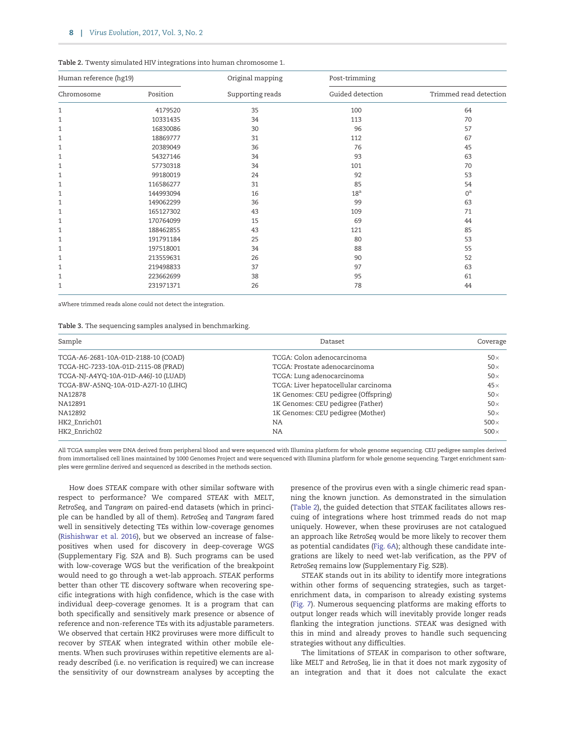| Human reference (hg19) |           | Original mapping | Post-trimming    |                        |  |  |  |
|------------------------|-----------|------------------|------------------|------------------------|--|--|--|
| Chromosome             | Position  | Supporting reads | Guided detection | Trimmed read detection |  |  |  |
| 1                      | 4179520   | 35               | 100              | 64                     |  |  |  |
| 1                      | 10331435  | 34               | 113              | 70                     |  |  |  |
| $\mathbf{1}$           | 16830086  | 30               | 96               | 57                     |  |  |  |
| 1                      | 18869777  | 31               | 112              | 67                     |  |  |  |
| 1                      | 20389049  | 36               | 76               | 45                     |  |  |  |
| 1                      | 54327146  | 34               | 93               | 63                     |  |  |  |
| 1                      | 57730318  | 34               | 101              | 70                     |  |  |  |
| 1                      | 99180019  | 24               | 92               | 53                     |  |  |  |
| 1                      | 116586277 | 31               | 85               | 54                     |  |  |  |
| 1                      | 144993094 | 16               | 18 <sup>a</sup>  | $0^{\rm a}$            |  |  |  |
| 1                      | 149062299 | 36               | 99               | 63                     |  |  |  |
| 1                      | 165127302 | 43               | 109              | 71                     |  |  |  |
| $\mathbf{1}$           | 170764099 | 15               | 69               | 44                     |  |  |  |
| $\mathbf{1}$           | 188462855 | 43               | 121              | 85                     |  |  |  |
| $\mathbf{1}$           | 191791184 | 25               | 80               | 53                     |  |  |  |
| 1                      | 197518001 | 34               | 88               | 55                     |  |  |  |
| 1                      | 213559631 | 26               | 90               | 52                     |  |  |  |
| 1                      | 219498833 | 37               | 97               | 63                     |  |  |  |
| 1                      | 223662699 | 38               | 95               | 61                     |  |  |  |
| 1                      | 231971371 | 26               | 78               | 44                     |  |  |  |

<span id="page-7-0"></span>

|  |  |  |  |  |  |  |  |  |  | <b>Table 2.</b> Twenty simulated HIV integrations into human chromosome 1. |  |  |
|--|--|--|--|--|--|--|--|--|--|----------------------------------------------------------------------------|--|--|
|--|--|--|--|--|--|--|--|--|--|----------------------------------------------------------------------------|--|--|

aWhere trimmed reads alone could not detect the integration.

Table 3. The sequencing samples analysed in benchmarking.

| Sample                              | Dataset                              | Coverage    |  |
|-------------------------------------|--------------------------------------|-------------|--|
| TCGA-A6-2681-10A-01D-2188-10 (COAD) | TCGA: Colon adenocarcinoma           | $50\times$  |  |
| TCGA-HC-7233-10A-01D-2115-08 (PRAD) | TCGA: Prostate adenocarcinoma        | $50\times$  |  |
| TCGA-NJ-A4YQ-10A-01D-A46J-10 (LUAD) | TCGA: Lung adenocarcinoma            | $50\times$  |  |
| TCGA-BW-A5NQ-10A-01D-A27I-10 (LIHC) | TCGA: Liver hepatocellular carcinoma | $45\times$  |  |
| NA12878                             | 1K Genomes: CEU pedigree (Offspring) | $50\times$  |  |
| NA12891                             | 1K Genomes: CEU pedigree (Father)    | $50\times$  |  |
| NA12892                             | 1K Genomes: CEU pedigree (Mother)    | $50\times$  |  |
| HK2 Enrich01                        | <b>NA</b>                            | $500\times$ |  |
| HK2 Enrich02                        | <b>NA</b>                            | $500\times$ |  |

All TCGA samples were DNA derived from peripheral blood and were sequenced with Illumina platform for whole genome sequencing. CEU pedigree samples derived from immortalised cell lines maintained by 1000 Genomes Project and were sequenced with Illumina platform for whole genome sequencing. Target enrichment samples were germline derived and sequenced as described in the methods section.

How does STEAK compare with other similar software with respect to performance? We compared STEAK with MELT, RetroSeq, and Tangram on paired-end datasets (which in principle can be handled by all of them). RetroSeq and Tangram fared well in sensitively detecting TEs within low-coverage genomes [\(Rishishwar et al. 2016\)](#page-11-0), but we observed an increase of falsepositives when used for discovery in deep-coverage WGS (Supplementary Fig. S2A and B). Such programs can be used with low-coverage WGS but the verification of the breakpoint would need to go through a wet-lab approach. STEAK performs better than other TE discovery software when recovering specific integrations with high confidence, which is the case with individual deep-coverage genomes. It is a program that can both specifically and sensitively mark presence or absence of reference and non-reference TEs with its adjustable parameters. We observed that certain HK2 proviruses were more difficult to recover by STEAK when integrated within other mobile elements. When such proviruses within repetitive elements are already described (i.e. no verification is required) we can increase the sensitivity of our downstream analyses by accepting the

presence of the provirus even with a single chimeric read spanning the known junction. As demonstrated in the simulation (Table 2), the guided detection that STEAK facilitates allows rescuing of integrations where host trimmed reads do not map uniquely. However, when these proviruses are not catalogued an approach like RetroSeq would be more likely to recover them as potential candidates [\(Fig. 6A\)](#page-8-0); although these candidate integrations are likely to need wet-lab verification, as the PPV of RetroSeq remains low (Supplementary Fig. S2B).

STEAK stands out in its ability to identify more integrations within other forms of sequencing strategies, such as targetenrichment data, in comparison to already existing systems [\(Fig. 7](#page-9-0)). Numerous sequencing platforms are making efforts to output longer reads which will inevitably provide longer reads flanking the integration junctions. STEAK was designed with this in mind and already proves to handle such sequencing strategies without any difficulties.

The limitations of STEAK in comparison to other software, like MELT and RetroSeq, lie in that it does not mark zygosity of an integration and that it does not calculate the exact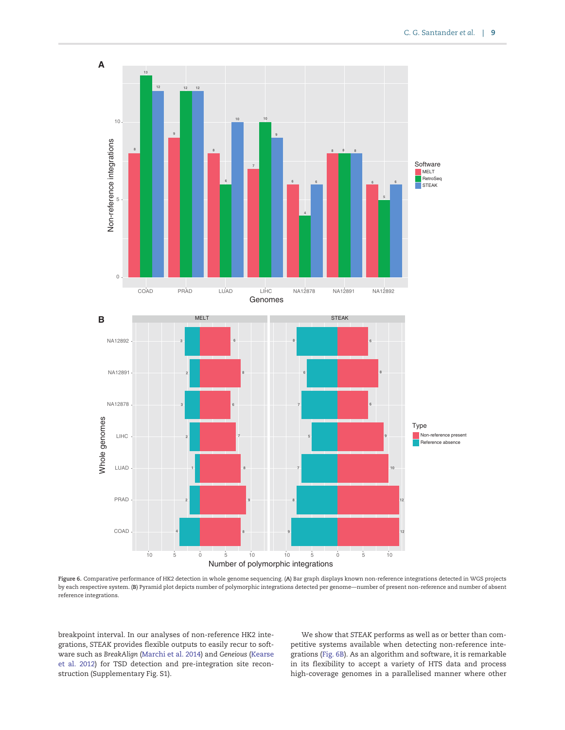<span id="page-8-0"></span>

Figure 6. Comparative performance of HK2 detection in whole genome sequencing. (A) Bar graph displays known non-reference integrations detected in WGS projects by each respective system. (B) Pyramid plot depicts number of polymorphic integrations detected per genome—number of present non-reference and number of absent reference integrations.

breakpoint interval. In our analyses of non-reference HK2 integrations, STEAK provides flexible outputs to easily recur to software such as BreakAlign ([Marchi et al. 2014\)](#page-11-0) and Geneious [\(Kearse](#page-11-0) [et al. 2012\)](#page-11-0) for TSD detection and pre-integration site reconstruction (Supplementary Fig. S1).

We show that STEAK performs as well as or better than competitive systems available when detecting non-reference integrations (Fig. 6B). As an algorithm and software, it is remarkable in its flexibility to accept a variety of HTS data and process high-coverage genomes in a parallelised manner where other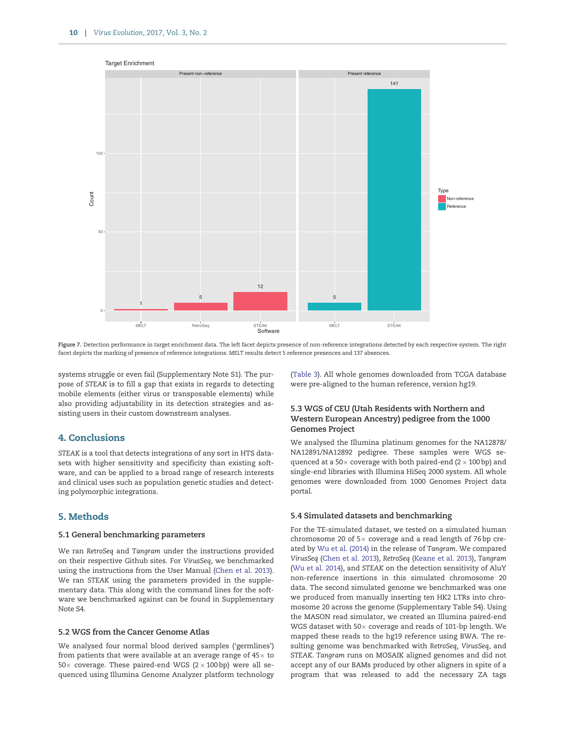<span id="page-9-0"></span>

Figure 7. Detection performance in target enrichment data. The left facet depicts presence of non-reference integrations detected by each respective system. The right facet depicts the marking of presence of reference integrations. MELT results detect 5 reference presences and 137 absences.

systems struggle or even fail (Supplementary Note S1). The purpose of STEAK is to fill a gap that exists in regards to detecting mobile elements (either virus or transposable elements) while also providing adjustability in its detection strategies and assisting users in their custom downstream analyses.

# 4. Conclusions

STEAK is a tool that detects integrations of any sort in HTS datasets with higher sensitivity and specificity than existing software, and can be applied to a broad range of research interests and clinical uses such as population genetic studies and detecting polymorphic integrations.

## 5. Methods

## 5.1 General benchmarking parameters

We ran RetroSeq and Tangram under the instructions provided on their respective Github sites. For VirusSeq, we benchmarked using the instructions from the User Manual ([Chen et al. 2013\)](#page-11-0). We ran STEAK using the parameters provided in the supplementary data. This along with the command lines for the software we benchmarked against can be found in Supplementary Note S4.

## 5.2 WGS from the Cancer Genome Atlas

We analysed four normal blood derived samples ('germlines') from patients that were available at an average range of 45 $\times$  to 50 $\times$  coverage. These paired-end WGS (2  $\times$  100 bp) were all sequenced using Illumina Genome Analyzer platform technology [\(Table 3](#page-7-0)). All whole genomes downloaded from TCGA database were pre-aligned to the human reference, version hg19.

# 5.3 WGS of CEU (Utah Residents with Northern and Western European Ancestry) pedigree from the 1000 Genomes Project

We analysed the Illumina platinum genomes for the NA12878/ NA12891/NA12892 pedigree. These samples were WGS sequenced at a 50 $\times$  coverage with both paired-end (2  $\times$  100 bp) and single-end libraries with Illumina HiSeq 2000 system. All whole genomes were downloaded from 1000 Genomes Project data portal.

#### 5.4 Simulated datasets and benchmarking

For the TE-simulated dataset, we tested on a simulated human chromosome 20 of  $5\times$  coverage and a read length of 76 bp created by [Wu et al. \(2014\)](#page-11-0) in the release of Tangram. We compared VirusSeq ([Chen et al. 2013\)](#page-11-0), RetroSeq [\(Keane et al. 2013\)](#page-11-0), Tangram [\(Wu et al. 2014\)](#page-11-0), and STEAK on the detection sensitivity of AluY non-reference insertions in this simulated chromosome 20 data. The second simulated genome we benchmarked was one we produced from manually inserting ten HK2 LTRs into chromosome 20 across the genome (Supplementary Table S4). Using the MASON read simulator, we created an Illumina paired-end WGS dataset with 50 $\times$  coverage and reads of 101-bp length. We mapped these reads to the hg19 reference using BWA. The resulting genome was benchmarked with RetroSeq, VirusSeq, and STEAK. Tangram runs on MOSAIK aligned genomes and did not accept any of our BAMs produced by other aligners in spite of a program that was released to add the necessary ZA tags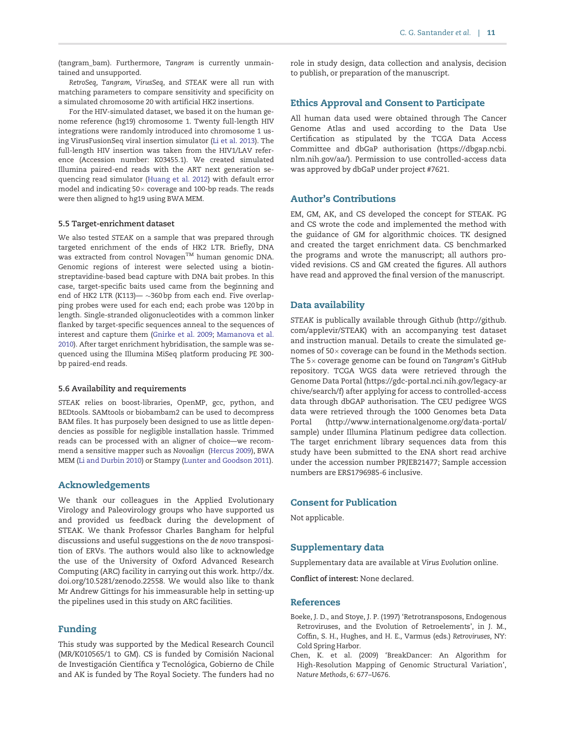<span id="page-10-0"></span>(tangram bam). Furthermore, Tangram is currently unmaintained and unsupported.

RetroSeq, Tangram, VirusSeq, and STEAK were all run with matching parameters to compare sensitivity and specificity on a simulated chromosome 20 with artificial HK2 insertions.

For the HIV-simulated dataset, we based it on the human genome reference (hg19) chromosome 1. Twenty full-length HIV integrations were randomly introduced into chromosome 1 using VirusFusionSeq viral insertion simulator ([Li et al. 2013](#page-11-0)). The full-length HIV insertion was taken from the HIV1/LAV reference (Accession number: K03455.1). We created simulated Illumina paired-end reads with the ART next generation sequencing read simulator [\(Huang et al. 2012](#page-11-0)) with default error model and indicating 50 $\times$  coverage and 100-bp reads. The reads were then aligned to hg19 using BWA MEM.

#### 5.5 Target-enrichment dataset

We also tested STEAK on a sample that was prepared through targeted enrichment of the ends of HK2 LTR. Briefly, DNA was extracted from control Novagen<sup>TM</sup> human genomic DNA. Genomic regions of interest were selected using a biotinstreptavidine-based bead capture with DNA bait probes. In this case, target-specific baits used came from the beginning and end of HK2 LTR (K113) $\sim$ 360 bp from each end. Five overlapping probes were used for each end; each probe was 120 bp in length. Single-stranded oligonucleotides with a common linker flanked by target-specific sequences anneal to the sequences of interest and capture them ([Gnirke et al. 2009](#page-11-0); [Mamanova et al.](#page-11-0) [2010\)](#page-11-0). After target enrichment hybridisation, the sample was sequenced using the Illumina MiSeq platform producing PE 300 bp paired-end reads.

#### 5.6 Availability and requirements

STEAK relies on boost-libraries, OpenMP, gcc, python, and BEDtools. SAMtools or biobambam2 can be used to decompress BAM files. It has purposely been designed to use as little dependencies as possible for negligible installation hassle. Trimmed reads can be processed with an aligner of choice—we recommend a sensitive mapper such as Novoalign [\(Hercus 2009](#page-11-0)), BWA MEM [\(Li and Durbin 2010](#page-11-0)) or Stampy [\(Lunter and Goodson 2011](#page-11-0)).

### Acknowledgements

We thank our colleagues in the Applied Evolutionary Virology and Paleovirology groups who have supported us and provided us feedback during the development of STEAK. We thank Professor Charles Bangham for helpful discussions and useful suggestions on the de novo transposition of ERVs. The authors would also like to acknowledge the use of the University of Oxford Advanced Research Computing (ARC) facility in carrying out this work. [http://dx.](http://dx.doi.org/10.5281/zenodo.22558) [doi.org/10.5281/zenodo.22558.](http://dx.doi.org/10.5281/zenodo.22558) We would also like to thank Mr Andrew Gittings for his immeasurable help in setting-up the pipelines used in this study on ARC facilities.

# Funding

This study was supported by the Medical Research Council (MR/K010565/1 to GM). CS is funded by Comisión Nacional de Investigación Científica y Tecnológica, Gobierno de Chile and AK is funded by The Royal Society. The funders had no role in study design, data collection and analysis, decision to publish, or preparation of the manuscript.

## Ethics Approval and Consent to Participate

All human data used were obtained through The Cancer Genome Atlas and used according to the Data Use Certification as stipulated by the TCGA Data Access Committee and dbGaP authorisation [\(https://dbgap.ncbi.](https://dbgap.ncbi.nlm.nih.gov/aa/) [nlm.nih.gov/aa/](https://dbgap.ncbi.nlm.nih.gov/aa/)). Permission to use controlled-access data was approved by dbGaP under project #7621.

# Author's Contributions

EM, GM, AK, and CS developed the concept for STEAK. PG and CS wrote the code and implemented the method with the guidance of GM for algorithmic choices. TK designed and created the target enrichment data. CS benchmarked the programs and wrote the manuscript; all authors provided revisions. CS and GM created the figures. All authors have read and approved the final version of the manuscript.

## Data availability

STEAK is publically available through Github [\(http://github.](http://github.com/applevir/STEAK) [com/applevir/STEAK\)](http://github.com/applevir/STEAK) with an accompanying test dataset and instruction manual. Details to create the simulated genomes of 50 $\times$  coverage can be found in the Methods section. The 5 $\times$  coverage genome can be found on Tangram's GitHub repository. TCGA WGS data were retrieved through the Genome Data Portal [\(https://gdc-portal.nci.nih.gov/legacy-ar](https://gdc-portal.nci.nih.gov/legacy-archive/search/f) [chive/search/f](https://gdc-portal.nci.nih.gov/legacy-archive/search/f)) after applying for access to controlled-access data through dbGAP authorisation. The CEU pedigree WGS data were retrieved through the 1000 Genomes beta Data Portal [\(http://www.internationalgenome.org/data-portal/](http://www.internationalgenome.org/data-portal/sample) [sample\)](http://www.internationalgenome.org/data-portal/sample) under Illumina Platinum pedigree data collection. The target enrichment library sequences data from this study have been submitted to the ENA short read archive under the accession number PRJEB21477; Sample accession numbers are ERS1796985-6 inclusive.

## Consent for Publication

Not applicable.

# Supplementary data

Supplementary data are available at Virus Evolution online.

Conflict of interest: None declared.

## References

- Boeke, J. D., and Stoye, J. P. (1997) 'Retrotransposons, Endogenous Retroviruses, and the Evolution of Retroelements', in J. M., Coffin, S. H., Hughes, and H. E., Varmus (eds.) Retroviruses, NY: Cold Spring Harbor.
- Chen, K. et al. (2009) 'BreakDancer: An Algorithm for High-Resolution Mapping of Genomic Structural Variation', Nature Methods, 6: 677–U676.